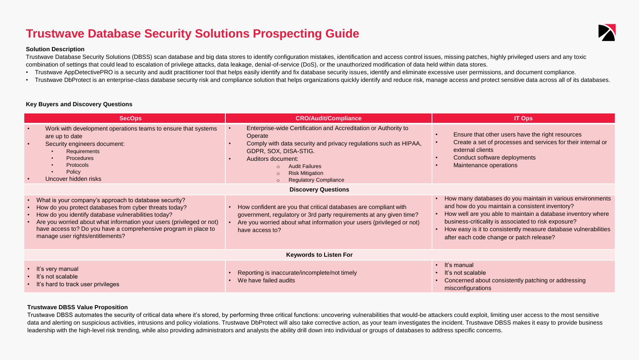## **Trustwave Database Security Solutions Prospecting Guide**

#### **Solution Description**

Trustwave Database Security Solutions (DBSS) scan database and big data stores to identify configuration mistakes, identification and access control issues, missing patches, highly privileged users and any toxic combination of settings that could lead to escalation of privilege attacks, data leakage, denial-of-service (DoS), or the unauthorized modification of data held within data stores.

- Trustwave AppDetectivePRO is a security and audit practitioner tool that helps easily identify and fix database security issues, identify and eliminate excessive user permissions, and document compliance.
- Trustwave DbProtect is an enterprise-class database security risk and compliance solution that helps organizations quickly identify and reduce risk, manage access and protect sensitive data across all of its databases.

## **Key Buyers and Discovery Questions**

| <b>SecOps</b>                                                                                                                                                                                                                                                                                                                                                  | <b>CRO/Audit/Compliance</b>                                                                                                                                                                                                                                                      | <b>IT Ops</b>                                                                                                                                                                                                                                                                                                                                        |  |  |
|----------------------------------------------------------------------------------------------------------------------------------------------------------------------------------------------------------------------------------------------------------------------------------------------------------------------------------------------------------------|----------------------------------------------------------------------------------------------------------------------------------------------------------------------------------------------------------------------------------------------------------------------------------|------------------------------------------------------------------------------------------------------------------------------------------------------------------------------------------------------------------------------------------------------------------------------------------------------------------------------------------------------|--|--|
| Work with development operations teams to ensure that systems<br>$\bullet$<br>are up to date<br>Security engineers document:<br>$\bullet$<br><b>Requirements</b><br><b>Procedures</b><br><b>Protocols</b><br>Policy<br>Uncover hidden risks<br>$\bullet$                                                                                                       | Enterprise-wide Certification and Accreditation or Authority to<br>Operate<br>Comply with data security and privacy regulations such as HIPAA,<br>GDPR, SOX, DISA-STIG.<br>Auditors document:<br><b>Audit Failures</b><br><b>Risk Mitigation</b><br><b>Regulatory Compliance</b> | Ensure that other users have the right resources<br>Create a set of processes and services for their internal or<br>external clients<br>Conduct software deployments<br>Maintenance operations                                                                                                                                                       |  |  |
| <b>Discovery Questions</b>                                                                                                                                                                                                                                                                                                                                     |                                                                                                                                                                                                                                                                                  |                                                                                                                                                                                                                                                                                                                                                      |  |  |
| • What is your company's approach to database security?<br>• How do you protect databases from cyber threats today?<br>• How do you identify database vulnerabilities today?<br>• Are you worried about what information your users (privileged or not)<br>have access to? Do you have a comprehensive program in place to<br>manage user rights/entitlements? | How confident are you that critical databases are compliant with<br>government, regulatory or 3rd party requirements at any given time?<br>Are you worried about what information your users (privileged or not)<br>have access to?                                              | How many databases do you maintain in various environments<br>and how do you maintain a consistent inventory?<br>How well are you able to maintain a database inventory where<br>business-criticality is associated to risk exposure?<br>How easy is it to consistently measure database vulnerabilities<br>after each code change or patch release? |  |  |
| <b>Keywords to Listen For</b>                                                                                                                                                                                                                                                                                                                                  |                                                                                                                                                                                                                                                                                  |                                                                                                                                                                                                                                                                                                                                                      |  |  |
| • It's very manual<br>• It's not scalable<br>• It's hard to track user privileges                                                                                                                                                                                                                                                                              | Reporting is inaccurate/incomplete/not timely<br>We have failed audits                                                                                                                                                                                                           | · It's manual<br>$\cdot$ It's not scalable<br>Concerned about consistently patching or addressing<br>misconfigurations                                                                                                                                                                                                                               |  |  |

#### **Trustwave DBSS Value Proposition**

Trustwave DBSS automates the security of critical data where it's stored, by performing three critical functions: uncovering vulnerabilities that would-be attackers could exploit, limiting user access to the most sensitive data and alerting on suspicious activities, intrusions and policy violations. Trustwave DbProtect will also take corrective action, as your team investigates the incident. Trustwave DBSS makes it easy to provide business leadership with the high-level risk trending, while also providing administrators and analysts the ability drill down into individual or groups of databases to address specific concerns.